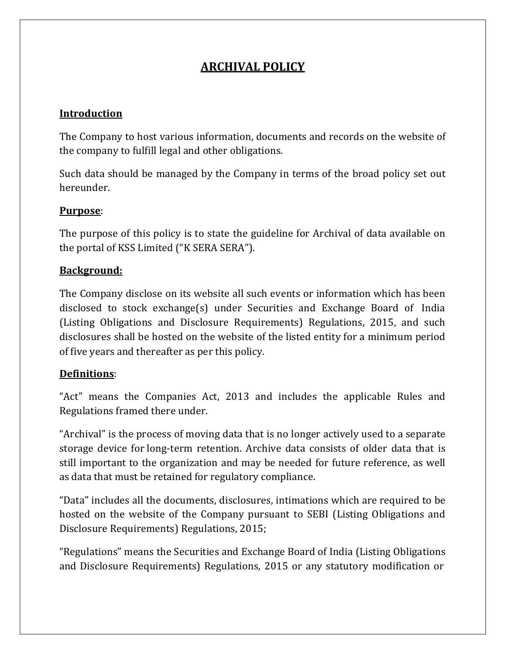# ARCHIVAL POLICY

### Introduction

The Company to host various information, documents and records on the website of the company to fulfill legal and other obligations.

Such data should be managed by the Company in terms of the broad policy set out hereunder.

### Purpose:

The purpose of this policy is to state the guideline for Archival of data available on the portal of KSS Limited ("K SERA SERA").

### Background:

The Company disclose on its website all such events or information which has been disclosed to stock exchange(s) under Securities and Exchange Board of India (Listing Obligations and Disclosure Requirements) Regulations, 2015, and such disclosures shall be hosted on the website of the listed entity for a minimum period of five years and thereafter as per this policy.

#### Definitions:

"Act" means the Companies Act, 2013 and includes the applicable Rules and Regulations framed there under.

"Archival" is the process of moving data that is no longer actively used to a separate storage device for long-term retention. Archive data consists of older data that is still important to the organization and may be needed for future reference, as well as data that must be retained for regulatory compliance.

"Data" includes all the documents, disclosures, intimations which are required to be hosted on the website of the Company pursuant to SEBI (Listing Obligations and Disclosure Requirements) Regulations, 2015;

"Regulations" means the Securities and Exchange Board of India (Listing Obligations and Disclosure Requirements) Regulations, 2015 or any statutory modification or